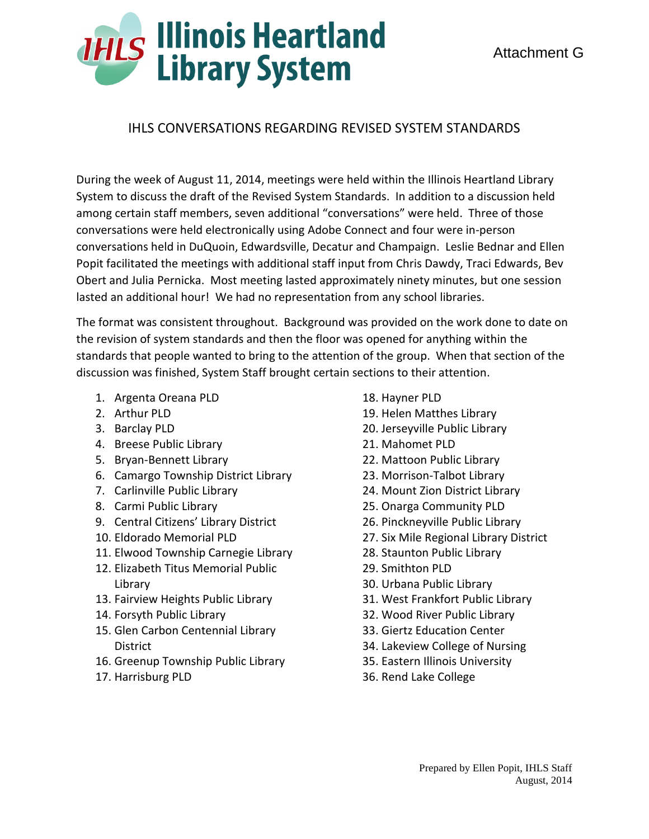## **THLS Illinois Heartland**<br>Library System

## IHLS CONVERSATIONS REGARDING REVISED SYSTEM STANDARDS

During the week of August 11, 2014, meetings were held within the Illinois Heartland Library System to discuss the draft of the Revised System Standards. In addition to a discussion held among certain staff members, seven additional "conversations" were held. Three of those conversations were held electronically using Adobe Connect and four were in-person conversations held in DuQuoin, Edwardsville, Decatur and Champaign. Leslie Bednar and Ellen Popit facilitated the meetings with additional staff input from Chris Dawdy, Traci Edwards, Bev Obert and Julia Pernicka. Most meeting lasted approximately ninety minutes, but one session lasted an additional hour! We had no representation from any school libraries.

The format was consistent throughout. Background was provided on the work done to date on the revision of system standards and then the floor was opened for anything within the standards that people wanted to bring to the attention of the group. When that section of the discussion was finished, System Staff brought certain sections to their attention.

- 1. Argenta Oreana PLD
- 2. Arthur PLD
- 3. Barclay PLD
- 4. Breese Public Library
- 5. Bryan-Bennett Library
- 6. Camargo Township District Library
- 7. Carlinville Public Library
- 8. Carmi Public Library
- 9. Central Citizens' Library District
- 10. Eldorado Memorial PLD
- 11. Elwood Township Carnegie Library
- 12. Elizabeth Titus Memorial Public Library
- 13. Fairview Heights Public Library
- 14. Forsyth Public Library
- 15. Glen Carbon Centennial Library District
- 16. Greenup Township Public Library
- 17. Harrisburg PLD
- 18. Hayner PLD
- 19. Helen Matthes Library
- 20. Jerseyville Public Library
- 21. Mahomet PLD
- 22. Mattoon Public Library
- 23. Morrison-Talbot Library
- 24. Mount Zion District Library
- 25. Onarga Community PLD
- 26. Pinckneyville Public Library
- 27. Six Mile Regional Library District
- 28. Staunton Public Library
- 29. Smithton PLD
- 30. Urbana Public Library
- 31. West Frankfort Public Library
- 32. Wood River Public Library
- 33. Giertz Education Center
- 34. Lakeview College of Nursing
- 35. Eastern Illinois University
- 36. Rend Lake College